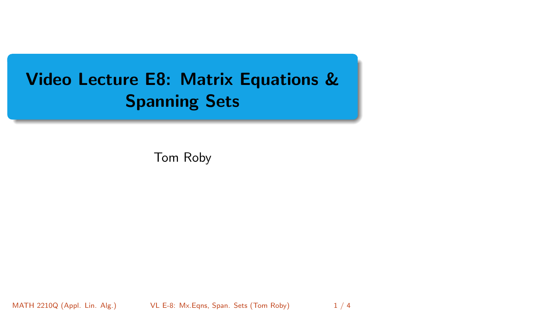# <span id="page-0-0"></span>Video Lecture E8: Matrix Equations & Spanning Sets

Tom Roby

MATH 2210Q (Appl. Lin. Alg.) VL E-8: Mx. Eqns, Span. Sets (Tom Roby) 1 / 4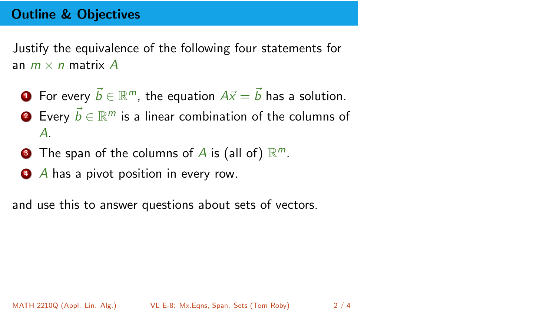# Outline & Objectives

Justify the equivalence of the following four statements for an  $m \times n$  matrix  $A$ 

- **1** For every  $\vec{b} \in \mathbb{R}^m$ , the equation  $A\vec{x} = \vec{b}$  has a solution.
- $\vec{a}$  Every  $\vec{b} \in \mathbb{R}^m$  is a linear combination of the columns of *A*.
- **3** The span of the columns of A is (all of)  $\mathbb{R}^m$ .
- <sup>4</sup> *A* has a pivot position in every row.

and use this to answer questions about sets of vectors.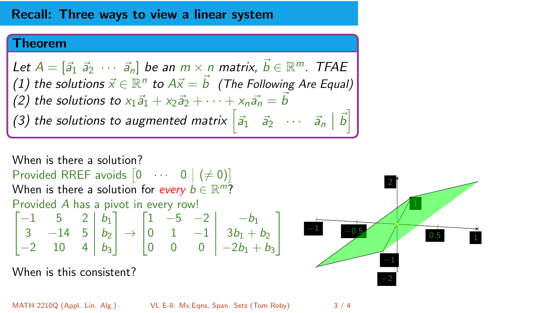### Recall: Three ways to view a linear system

#### Theorem

 $\mathcal{L}$ et  $A = [\vec{a}_1 \ \vec{a}_2 \ \cdots \ \vec{a}_n]$  be an  $m \times n$  matrix,  $\vec{b} \in \mathbb{R}^m$ . TFAE  $(1)$  the solutions  $\vec{x} \in \mathbb{R}^n$  to  $A\vec{x} = \vec{b}$  *(The Following Are Equal) (2) the solutions to*  $x_1\vec{a}_1 + x_2\vec{a}_2 + \cdots + x_n\vec{a}_n = \vec{b}$ *(3) the solutions to augmented matrix*  $\begin{bmatrix} \vec{a}_1 & \vec{a}_2 & \cdots & \vec{a}_n \end{bmatrix} \begin{bmatrix} \vec{b} \end{bmatrix}$ 

When is there a solution? Provided RREF avoids  $\begin{bmatrix} 0 & \cdots & 0 \end{bmatrix} (\neq 0)$ When is there a solution for *every*  $b \in \mathbb{R}^m$ ? Provided *A* has a pivot in every row!  $\sqrt{2}$ 4  $-1$  5 2  $b_1$ 3  $-14$  5  $b_2$  $-2$  10 4  $b_3$ 1  $\vert \rightarrow$  $\sqrt{2}$ 4  $1 \quad -5 \quad -2 \mid -b_1$ 0 1  $-1$   $3b_1 + b_2$ 0 0 0  $-2b_1 + b_3$ 

When is this consistent?



1  $\overline{1}$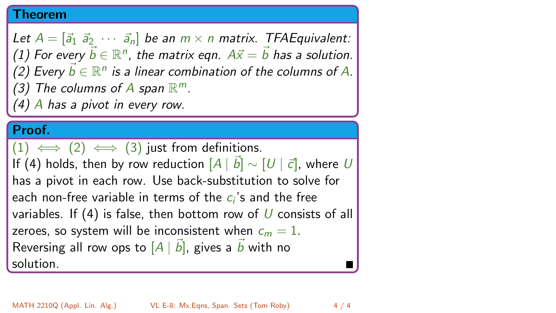#### Theorem

*Let*  $A = [\vec{a}_1 \ \vec{a}_2 \ \cdots \ \vec{a}_n]$  *be an*  $m \times n$  *matrix. TFAEquivalent:*  $(1)$  For every  $\vec{b} \in \mathbb{R}^n$ , the matrix eqn.  $A\vec{x} = \vec{b}$  has a solution.  $(2)$  Every  $\vec{b} \in \mathbb{R}^n$  *is a linear combination of the columns of A. (3)* The columns of A span  $\mathbb{R}^m$ .

*(4) A has a pivot in every row.*

## Proof.

 $(1) \iff (2) \iff (3)$  just from definitions. If (4) holds, then by row reduction  $[A \mid \vec{b}] \sim [U \mid \vec{c}]$ , where  $U$ has a pivot in each row. Use back-substitution to solve for each non-free variable in terms of the *ci*'s and the free variables. If (4) is false, then bottom row of *U* consists of all zeroes, so system will be inconsistent when  $c_m = 1$ . Reversing all row ops to  $\left[A \mid \vec{b}\right]$ , gives a  $\vec{b}$  with no solution.